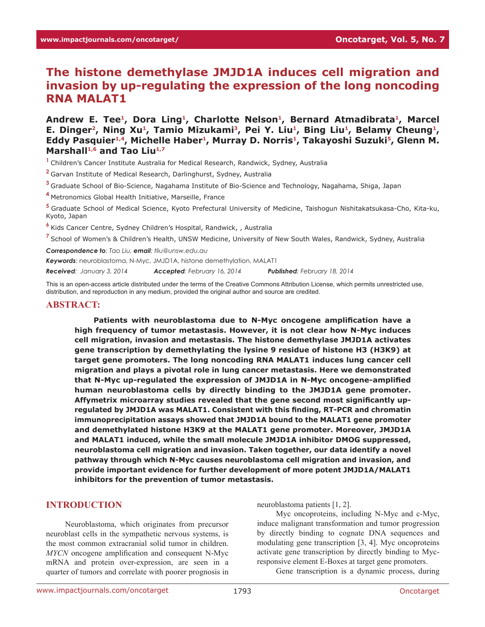# **The histone demethylase JMJD1A induces cell migration and invasion by up-regulating the expression of the long noncoding RNA MALAT1**

Andrew E. Tee<sup>1</sup>, Dora Ling<sup>1</sup>, Charlotte Nelson<sup>1</sup>, Bernard Atmadibrata<sup>1</sup>, Marcel E. Dinger<sup>2</sup>, Ning Xu<sup>1</sup>, Tamio Mizukami<sup>3</sup>, Pei Y. Liu<sup>1</sup>, Bing Liu<sup>1</sup>, Belamy Cheung<sup>1</sup>, Eddy Pasquier<sup>1,4</sup>, Michelle Haber<sup>1</sup>, Murray D. Norris<sup>1</sup>, Takayoshi Suzuki<sup>5</sup>, Glenn M. Marshall<sup>1,6</sup> and Tao Liu<sup>1,7</sup>

**<sup>1</sup>**Children's Cancer Institute Australia for Medical Research, Randwick, Sydney, Australia

**<sup>2</sup>**Garvan Institute of Medical Research, Darlinghurst, Sydney, Australia

**<sup>3</sup>**Graduate School of Bio-Science, Nagahama Institute of Bio-Science and Technology, Nagahama, Shiga, Japan

**<sup>4</sup>**Metronomics Global Health Initiative, Marseille, France

**<sup>5</sup>**Graduate School of Medical Science, Kyoto Prefectural University of Medicine, Taishogun Nishitakatsukasa-Cho, Kita-ku, Kyoto, Japan

**<sup>6</sup>**Kids Cancer Centre, Sydney Children's Hospital, Randwick, , Australia

**<sup>7</sup>**School of Women's & Children's Health, UNSW Medicine, University of New South Wales, Randwick, Sydney, Australia

*Correspondence to: Tao Liu, email: tliu@unsw.edu.au*

*Keywords*: neuroblastoma, N-Myc, JMJD1A, histone demethylation, MALAT1

*Received: January 3, 2014 Accepted: February 16, 2014 Published: February 18, 2014*

This is an open-access article distributed under the terms of the Creative Commons Attribution License, which permits unrestricted use, distribution, and reproduction in any medium, provided the original author and source are credited.

#### **ABSTRACT:**

**Patients with neuroblastoma due to N-Myc oncogene amplification have a high frequency of tumor metastasis. However, it is not clear how N-Myc induces cell migration, invasion and metastasis. The histone demethylase JMJD1A activates gene transcription by demethylating the lysine 9 residue of histone H3 (H3K9) at target gene promoters. The long noncoding RNA MALAT1 induces lung cancer cell migration and plays a pivotal role in lung cancer metastasis. Here we demonstrated that N-Myc up-regulated the expression of JMJD1A in N-Myc oncogene-amplified human neuroblastoma cells by directly binding to the JMJD1A gene promoter. Affymetrix microarray studies revealed that the gene second most significantly upregulated by JMJD1A was MALAT1. Consistent with this finding, RT-PCR and chromatin immunoprecipitation assays showed that JMJD1A bound to the MALAT1 gene promoter and demethylated histone H3K9 at the MALAT1 gene promoter. Moreover, JMJD1A and MALAT1 induced, while the small molecule JMJD1A inhibitor DMOG suppressed, neuroblastoma cell migration and invasion. Taken together, our data identify a novel pathway through which N-Myc causes neuroblastoma cell migration and invasion, and provide important evidence for further development of more potent JMJD1A/MALAT1 inhibitors for the prevention of tumor metastasis.**

## **INTRODUCTION**

Neuroblastoma, which originates from precursor neuroblast cells in the sympathetic nervous systems, is the most common extracranial solid tumor in children. *MYCN* oncogene amplification and consequent N-Myc mRNA and protein over-expression, are seen in a quarter of tumors and correlate with poorer prognosis in

neuroblastoma patients [1, 2].

Myc oncoproteins, including N-Myc and c-Myc, induce malignant transformation and tumor progression by directly binding to cognate DNA sequences and modulating gene transcription [3, 4]. Myc oncoproteins activate gene transcription by directly binding to Mycresponsive element E-Boxes at target gene promoters.

Gene transcription is a dynamic process, during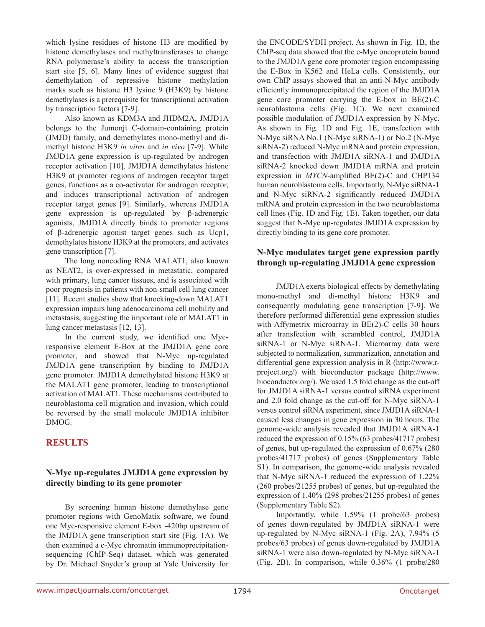which lysine residues of histone H3 are modified by histone demethylases and methyltransferases to change RNA polymerase's ability to access the transcription start site [5, 6]. Many lines of evidence suggest that demethylation of repressive histone methylation marks such as histone H3 lysine 9 (H3K9) by histone demethylases is a prerequisite for transcriptional activation by transcription factors [7-9].

Also known as KDM3A and JHDM2A, JMJD1A belongs to the Jumonji C-domain-containing protein (JMJD) family, and demethylates mono-methyl and dimethyl histone H3K9 *in vitro* and *in vivo* [7-9]. While JMJD1A gene expression is up-regulated by androgen receptor activation [10], JMJD1A demethylates histone H3K9 at promoter regions of androgen receptor target genes, functions as a co-activator for androgen receptor, and induces transcriptional activation of androgen receptor target genes [9]. Similarly, whereas JMJD1A gene expression is up-regulated by β-adrenergic agonists, JMJD1A directly binds to promoter regions of β-adrenergic agonist target genes such as Ucp1, demethylates histone H3K9 at the promoters, and activates gene transcription [7].

The long noncoding RNA MALAT1, also known as NEAT2, is over-expressed in metastatic, compared with primary, lung cancer tissues, and is associated with poor prognosis in patients with non-small cell lung cancer [11]. Recent studies show that knocking-down MALAT1 expression impairs lung adenocarcinoma cell mobility and metastasis, suggesting the important role of MALAT1 in lung cancer metastasis [12, 13].

In the current study, we identified one Mycresponsive element E-Box at the JMJD1A gene core promoter, and showed that N-Myc up-regulated JMJD1A gene transcription by binding to JMJD1A gene promoter. JMJD1A demethylated histone H3K9 at the MALAT1 gene promoter, leading to transcriptional activation of MALAT1. These mechanisms contributed to neuroblastoma cell migration and invasion, which could be reversed by the small molecule JMJD1A inhibitor DMOG.

# **RESULTS**

## **N-Myc up-regulates JMJD1A gene expression by directly binding to its gene promoter**

By screening human histone demethylase gene promoter regions with GenoMatix software, we found one Myc-responsive element E-box -420bp upstream of the JMJD1A gene transcription start site (Fig. 1A). We then examined a c-Myc chromatin immunoprecipitationsequencing (ChIP-Seq) dataset, which was generated by Dr. Michael Snyder's group at Yale University for

the ENCODE/SYDH project. As shown in Fig. 1B, the ChIP-seq data showed that the c-Myc oncoprotein bound to the JMJD1A gene core promoter region encompassing the E-Box in K562 and HeLa cells. Consistently, our own ChIP assays showed that an anti-N-Myc antibody efficiently immunoprecipitated the region of the JMJD1A gene core promoter carrying the E-box in BE(2)-C neuroblastoma cells (Fig. 1C). We next examined possible modulation of JMJD1A expression by N-Myc. As shown in Fig. 1D and Fig. 1E, transfection with N-Myc siRNA No.1 (N-Myc siRNA-1) or No.2 (N-Myc siRNA-2) reduced N-Myc mRNA and protein expression, and transfection with JMJD1A siRNA-1 and JMJD1A siRNA-2 knocked down JMJD1A mRNA and protein expression in *MYCN*-amplified BE(2)-C and CHP134 human neuroblastoma cells. Importantly, N-Myc siRNA-1 and N-Myc siRNA-2 significantly reduced JMJD1A mRNA and protein expression in the two neuroblastoma cell lines (Fig. 1D and Fig. 1E). Taken together, our data suggest that N-Myc up-regulates JMJD1A expression by directly binding to its gene core promoter.

#### **N-Myc modulates target gene expression partly through up-regulating JMJD1A gene expression**

JMJD1A exerts biological effects by demethylating mono-methyl and di-methyl histone H3K9 and consequently modulating gene transcription [7-9]. We therefore performed differential gene expression studies with Affymetrix microarray in BE(2)-C cells 30 hours after transfection with scrambled control, JMJD1A siRNA-1 or N-Myc siRNA-1. Microarray data were subjected to normalization, summarization, annotation and differential gene expression analysis in R (http://www.rproject.org/) with bioconductor package (http://www. bioconductor.org/). We used 1.5 fold change as the cut-off for JMJD1A siRNA-1 versus control siRNA experiment and 2.0 fold change as the cut-off for N-Myc siRNA-1 versus control siRNA experiment, since JMJD1A siRNA-1 caused less changes in gene expression in 30 hours. The genome-wide analysis revealed that JMJD1A siRNA-1 reduced the expression of 0.15% (63 probes/41717 probes) of genes, but up-regulated the expression of 0.67% (280 probes/41717 probes) of genes (Supplementary Table S1). In comparison, the genome-wide analysis revealed that N-Myc siRNA-1 reduced the expression of 1.22% (260 probes/21255 probes) of genes, but up-regulated the expression of 1.40% (298 probes/21255 probes) of genes (Supplementary Table S2).

Importantly, while 1.59% (1 probe/63 probes) of genes down-regulated by JMJD1A siRNA-1 were up-regulated by N-Myc siRNA-1 (Fig. 2A), 7.94% (5 probes/63 probes) of genes down-regulated by JMJD1A siRNA-1 were also down-regulated by N-Myc siRNA-1 (Fig. 2B). In comparison, while 0.36% (1 probe/280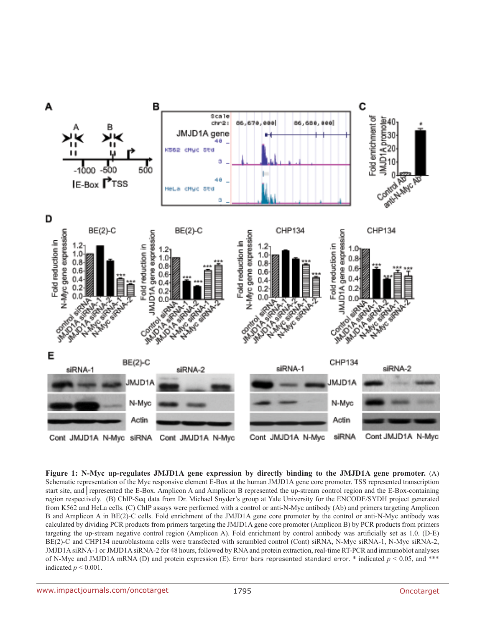

**Figure 1: N-Myc up-regulates JMJD1A gene expression by directly binding to the JMJD1A gene promoter.** (A) Schematic representation of the Myc responsive element E-Box at the human JMJD1A gene core promoter. TSS represented transcription start site, and | represented the E-Box. Amplicon A and Amplicon B represented the up-stream control region and the E-Box-containing region respectively. (B) ChIP-Seq data from Dr. Michael Snyder's group at Yale University for the ENCODE/SYDH project generated from K562 and HeLa cells. (C) ChIP assays were performed with a control or anti-N-Myc antibody (Ab) and primers targeting Amplicon B and Amplicon A in BE(2)-C cells. Fold enrichment of the JMJD1A gene core promoter by the control or anti-N-Myc antibody was calculated by dividing PCR products from primers targeting the JMJD1A gene core promoter (Amplicon B) by PCR products from primers targeting the up-stream negative control region (Amplicon A). Fold enrichment by control antibody was artificially set as 1.0. (D-E) BE(2)-C and CHP134 neuroblastoma cells were transfected with scrambled control (Cont) siRNA, N-Myc siRNA-1, N-Myc siRNA-2, JMJD1A siRNA-1 or JMJD1A siRNA-2 for 48 hours, followed by RNA and protein extraction, real-time RT-PCR and immunoblot analyses of N-Myc and JMJD1A mRNA (D) and protein expression (E). Error bars represented standard error. \* indicated  $p < 0.05$ , and \*\*\* indicated  $p < 0.001$ .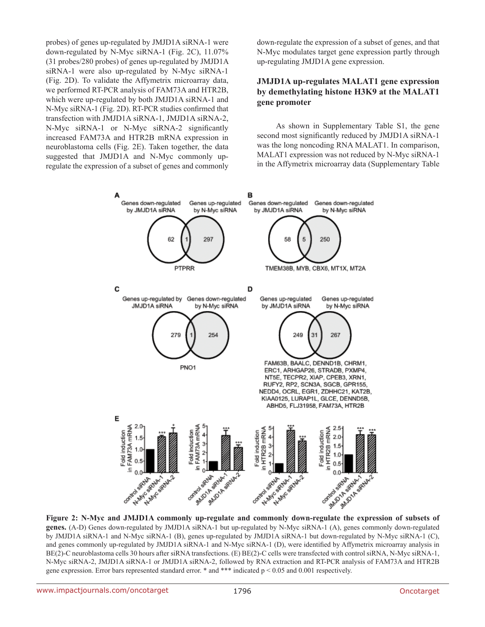probes) of genes up-regulated by JMJD1A siRNA-1 were down-regulated by N-Myc siRNA-1 (Fig. 2C), 11.07% (31 probes/280 probes) of genes up-regulated by JMJD1A siRNA-1 were also up-regulated by N-Myc siRNA-1 (Fig. 2D). To validate the Affymetrix microarray data, we performed RT-PCR analysis of FAM73A and HTR2B, which were up-regulated by both JMJD1A siRNA-1 and N-Myc siRNA-1 (Fig. 2D). RT-PCR studies confirmed that transfection with JMJD1A siRNA-1, JMJD1A siRNA-2, N-Myc siRNA-1 or N-Myc siRNA-2 significantly increased FAM73A and HTR2B mRNA expression in neuroblastoma cells (Fig. 2E). Taken together, the data suggested that JMJD1A and N-Myc commonly upregulate the expression of a subset of genes and commonly down-regulate the expression of a subset of genes, and that N-Myc modulates target gene expression partly through up-regulating JMJD1A gene expression.

# **JMJD1A up-regulates MALAT1 gene expression by demethylating histone H3K9 at the MALAT1 gene promoter**

As shown in Supplementary Table S1, the gene second most significantly reduced by JMJD1A siRNA-1 was the long noncoding RNA MALAT1. In comparison, MALAT1 expression was not reduced by N-Myc siRNA-1 in the Affymetrix microarray data (Supplementary Table



**Figure 2: N-Myc and JMJD1A commonly up-regulate and commonly down-regulate the expression of subsets of genes.** (A-D) Genes down-regulated by JMJD1A siRNA-1 but up-regulated by N-Myc siRNA-1 (A), genes commonly down-regulated by JMJD1A siRNA-1 and N-Myc siRNA-1 (B), genes up-regulated by JMJD1A siRNA-1 but down-regulated by N-Myc siRNA-1 (C), and genes commonly up-regulated by JMJD1A siRNA-1 and N-Myc siRNA-1 (D), were identified by Affymetrix microarray analysis in BE(2)-C neuroblastoma cells 30 hours after siRNA transfections. (E) BE(2)-C cells were transfected with control siRNA, N-Myc siRNA-1, N-Myc siRNA-2, JMJD1A siRNA-1 or JMJD1A siRNA-2, followed by RNA extraction and RT-PCR analysis of FAM73A and HTR2B gene expression. Error bars represented standard error.  $*$  and  $***$  indicated  $p < 0.05$  and 0.001 respectively.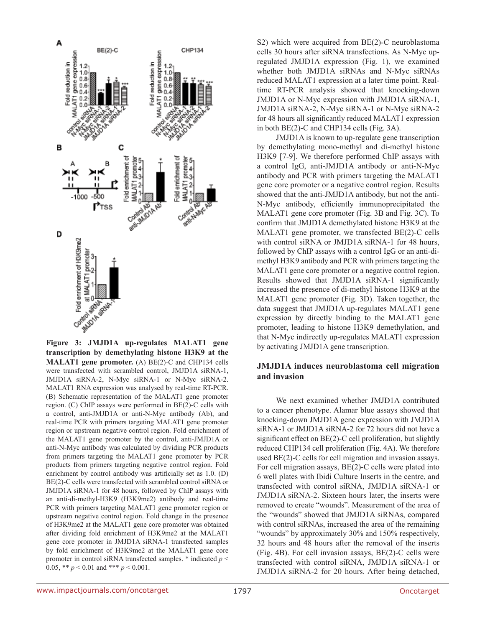

**Figure 3: JMJD1A up-regulates MALAT1 gene transcription by demethylating histone H3K9 at the MALAT1 gene promoter.** (A) BE(2)-C and CHP134 cells were transfected with scrambled control, JMJD1A siRNA-1, JMJD1A siRNA-2, N-Myc siRNA-1 or N-Myc siRNA-2. MALAT1 RNA expression was analysed by real-time RT-PCR. (B) Schematic representation of the MALAT1 gene promoter region. (C) ChIP assays were performed in BE(2)-C cells with a control, anti-JMJD1A or anti-N-Myc antibody (Ab), and real-time PCR with primers targeting MALAT1 gene promoter region or upstream negative control region. Fold enrichment of the MALAT1 gene promoter by the control, anti-JMJD1A or anti-N-Myc antibody was calculated by dividing PCR products from primers targeting the MALAT1 gene promoter by PCR products from primers targeting negative control region. Fold enrichment by control antibody was artificially set as 1.0. (D) BE(2)-C cells were transfected with scrambled control siRNA or JMJD1A siRNA-1 for 48 hours, followed by ChIP assays with an anti-di-methyl-H3K9 (H3K9me2) antibody and real-time PCR with primers targeting MALAT1 gene promoter region or upstream negative control region. Fold change in the presence of H3K9me2 at the MALAT1 gene core promoter was obtained after dividing fold enrichment of H3K9me2 at the MALAT1 gene core promoter in JMJD1A siRNA-1 transfected samples by fold enrichment of H3K9me2 at the MALAT1 gene core promoter in control siRNA transfected samples. \* indicated *p* < 0.05, \*\*  $p < 0.01$  and \*\*\*  $p < 0.001$ .

S2) which were acquired from BE(2)-C neuroblastoma cells 30 hours after siRNA transfections. As N-Myc upregulated JMJD1A expression (Fig. 1), we examined whether both JMJD1A siRNAs and N-Myc siRNAs reduced MALAT1 expression at a later time point. Realtime RT-PCR analysis showed that knocking-down JMJD1A or N-Myc expression with JMJD1A siRNA-1, JMJD1A siRNA-2, N-Myc siRNA-1 or N-Myc siRNA-2 for 48 hours all significantly reduced MALAT1 expression in both BE(2)-C and CHP134 cells (Fig. 3A).

JMJD1A is known to up-regulate gene transcription by demethylating mono-methyl and di-methyl histone H3K9 [7-9]. We therefore performed ChIP assays with a control IgG, anti-JMJD1A antibody or anti-N-Myc antibody and PCR with primers targeting the MALAT1 gene core promoter or a negative control region. Results showed that the anti-JMJD1A antibody, but not the anti-N-Myc antibody, efficiently immunoprecipitated the MALAT1 gene core promoter (Fig. 3B and Fig. 3C). To confirm that JMJD1A demethylated histone H3K9 at the MALAT1 gene promoter, we transfected BE(2)-C cells with control siRNA or JMJD1A siRNA-1 for 48 hours, followed by ChIP assays with a control IgG or an anti-dimethyl H3K9 antibody and PCR with primers targeting the MALAT1 gene core promoter or a negative control region. Results showed that JMJD1A siRNA-1 significantly increased the presence of di-methyl histone H3K9 at the MALAT1 gene promoter (Fig. 3D). Taken together, the data suggest that JMJD1A up-regulates MALAT1 gene expression by directly binding to the MALAT1 gene promoter, leading to histone H3K9 demethylation, and that N-Myc indirectly up-regulates MALAT1 expression by activating JMJD1A gene transcription.

#### **JMJD1A induces neuroblastoma cell migration and invasion**

We next examined whether JMJD1A contributed to a cancer phenotype. Alamar blue assays showed that knocking-down JMJD1A gene expression with JMJD1A siRNA-1 or JMJD1A siRNA-2 for 72 hours did not have a significant effect on BE(2)-C cell proliferation, but slightly reduced CHP134 cell proliferation (Fig. 4A). We therefore used BE(2)-C cells for cell migration and invasion assays. For cell migration assays, BE(2)-C cells were plated into 6 well plates with Ibidi Culture Inserts in the centre, and transfected with control siRNA, JMJD1A siRNA-1 or JMJD1A siRNA-2. Sixteen hours later, the inserts were removed to create "wounds". Measurement of the area of the "wounds" showed that JMJD1A siRNAs, compared with control siRNAs, increased the area of the remaining "wounds" by approximately 30% and 150% respectively, 32 hours and 48 hours after the removal of the inserts (Fig. 4B). For cell invasion assays, BE(2)-C cells were transfected with control siRNA, JMJD1A siRNA-1 or JMJD1A siRNA-2 for 20 hours. After being detached,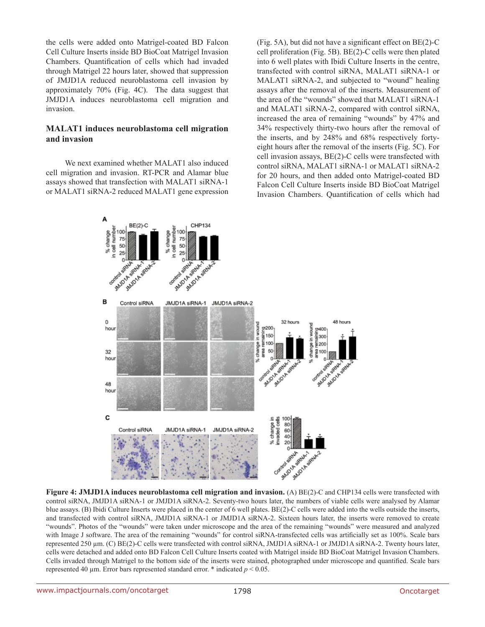the cells were added onto Matrigel-coated BD Falcon Cell Culture Inserts inside BD BioCoat Matrigel Invasion Chambers. Quantification of cells which had invaded through Matrigel 22 hours later, showed that suppression of JMJD1A reduced neuroblastoma cell invasion by approximately 70% (Fig. 4C). The data suggest that JMJD1A induces neuroblastoma cell migration and invasion.

#### **MALAT1 induces neuroblastoma cell migration and invasion**

We next examined whether MALAT1 also induced cell migration and invasion. RT-PCR and Alamar blue assays showed that transfection with MALAT1 siRNA-1 or MALAT1 siRNA-2 reduced MALAT1 gene expression (Fig. 5A), but did not have a significant effect on BE(2)-C cell proliferation (Fig. 5B). BE(2)-C cells were then plated into 6 well plates with Ibidi Culture Inserts in the centre, transfected with control siRNA, MALAT1 siRNA-1 or MALAT1 siRNA-2, and subjected to "wound" healing assays after the removal of the inserts. Measurement of the area of the "wounds" showed that MALAT1 siRNA-1 and MALAT1 siRNA-2, compared with control siRNA, increased the area of remaining "wounds" by 47% and 34% respectively thirty-two hours after the removal of the inserts, and by 248% and 68% respectively fortyeight hours after the removal of the inserts (Fig. 5C). For cell invasion assays, BE(2)-C cells were transfected with control siRNA, MALAT1 siRNA-1 or MALAT1 siRNA-2 for 20 hours, and then added onto Matrigel-coated BD Falcon Cell Culture Inserts inside BD BioCoat Matrigel Invasion Chambers. Quantification of cells which had



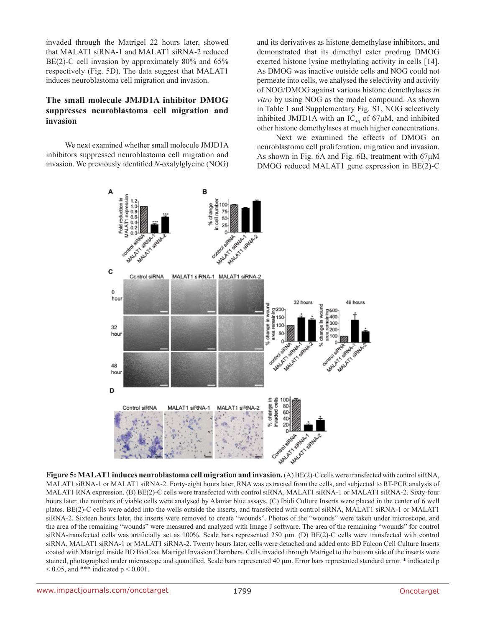invaded through the Matrigel 22 hours later, showed that MALAT1 siRNA-1 and MALAT1 siRNA-2 reduced BE(2)-C cell invasion by approximately 80% and 65% respectively (Fig. 5D). The data suggest that MALAT1 induces neuroblastoma cell migration and invasion.

## **The small molecule JMJD1A inhibitor DMOG suppresses neuroblastoma cell migration and invasion**

We next examined whether small molecule JMJD1A inhibitors suppressed neuroblastoma cell migration and invasion. We previously identified *N*-oxalylglycine (NOG) and its derivatives as histone demethylase inhibitors, and demonstrated that its dimethyl ester prodrug DMOG exerted histone lysine methylating activity in cells [14]. As DMOG was inactive outside cells and NOG could not permeate into cells, we analysed the selectivity and activity of NOG/DMOG against various histone demethylases *in vitro* by using NOG as the model compound. As shown in Table 1 and Supplementary Fig. S1, NOG selectively inhibited JMJD1A with an  $IC_{50}$  of 67 $\mu$ M, and inhibited other histone demethylases at much higher concentrations.

Next we examined the effects of DMOG on neuroblastoma cell proliferation, migration and invasion. As shown in Fig. 6A and Fig. 6B, treatment with 67μM DMOG reduced MALAT1 gene expression in BE(2)-C



**Figure 5: MALAT1 induces neuroblastoma cell migration and invasion.** (A) BE(2)-C cells were transfected with control siRNA, MALAT1 siRNA-1 or MALAT1 siRNA-2. Forty-eight hours later, RNA was extracted from the cells, and subjected to RT-PCR analysis of MALAT1 RNA expression. (B) BE(2)-C cells were transfected with control siRNA, MALAT1 siRNA-1 or MALAT1 siRNA-2. Sixty-four hours later, the numbers of viable cells were analysed by Alamar blue assays. (C) Ibidi Culture Inserts were placed in the center of 6 well plates. BE(2)-C cells were added into the wells outside the inserts, and transfected with control siRNA, MALAT1 siRNA-1 or MALAT1 siRNA-2. Sixteen hours later, the inserts were removed to create "wounds". Photos of the "wounds" were taken under microscope, and the area of the remaining "wounds" were measured and analyzed with Image J software. The area of the remaining "wounds" for control siRNA-transfected cells was artificially set as 100%. Scale bars represented 250  $\mu$ m. (D) BE(2)-C cells were transfected with control siRNA, MALAT1 siRNA-1 or MALAT1 siRNA-2. Twenty hours later, cells were detached and added onto BD Falcon Cell Culture Inserts coated with Matrigel inside BD BioCoat Matrigel Invasion Chambers. Cells invaded through Matrigel to the bottom side of the inserts were stained, photographed under microscope and quantified. Scale bars represented 40 µm. Error bars represented standard error. \* indicated p  $0.05$ , and \*\*\* indicated p  $0.001$ .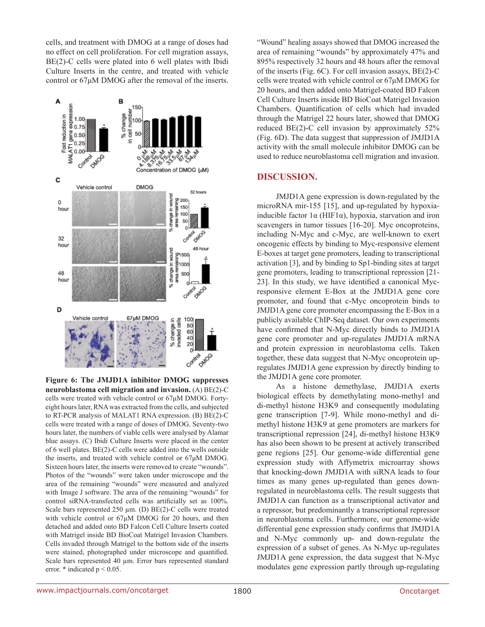cells, and treatment with DMOG at a range of doses had no effect on cell proliferation. For cell migration assays, BE(2)-C cells were plated into 6 well plates with Ibidi Culture Inserts in the centre, and treated with vehicle control or 67μM DMOG after the removal of the inserts.



**Figure 6: The JMJD1A inhibitor DMOG suppresses neuroblastoma cell migration and invasion.** (A) BE(2)-C cells were treated with vehicle control or 67μM DMOG. Fortyeight hours later, RNA was extracted from the cells, and subjected to RT-PCR analysis of MALAT1 RNA expression. (B) BE(2)-C cells were treated with a range of doses of DMOG. Seventy-two hours later, the numbers of viable cells were analysed by Alamar blue assays. (C) Ibidi Culture Inserts were placed in the center of 6 well plates. BE(2)-C cells were added into the wells outside the inserts, and treated with vehicle control or 67μM DMOG. Sixteen hours later, the inserts were removed to create "wounds". Photos of the "wounds" were taken under microscope and the area of the remaining "wounds" were measured and analyzed with Image J software. The area of the remaining "wounds" for control siRNA-transfected cells was artificially set as 100%. Scale bars represented 250 µm. (D) BE(2)-C cells were treated with vehicle control or 67μM DMOG for 20 hours, and then detached and added onto BD Falcon Cell Culture Inserts coated with Matrigel inside BD BioCoat Matrigel Invasion Chambers. Cells invaded through Matrigel to the bottom side of the inserts were stained, photographed under microscope and quantified. Scale bars represented 40 µm. Error bars represented standard error.  $*$  indicated  $p < 0.05$ .

"Wound" healing assays showed that DMOG increased the area of remaining "wounds" by approximately 47% and 895% respectively 32 hours and 48 hours after the removal of the inserts (Fig. 6C). For cell invasion assays, BE(2)-C cells were treated with vehicle control or 67μM DMOG for 20 hours, and then added onto Matrigel-coated BD Falcon Cell Culture Inserts inside BD BioCoat Matrigel Invasion Chambers. Quantification of cells which had invaded through the Matrigel 22 hours later, showed that DMOG reduced BE(2)-C cell invasion by approximately 52% (Fig. 6D). The data suggest that suppression of JMJD1A activity with the small molecule inhibitor DMOG can be used to reduce neuroblastoma cell migration and invasion.

## **DISCUSSION.**

JMJD1A gene expression is down-regulated by the microRNA mir-155 [15], and up-regulated by hypoxiainducible factor 1α (HIF1α), hypoxia, starvation and iron scavengers in tumor tissues [16-20]. Myc oncoproteins, including N-Myc and c-Myc, are well-known to exert oncogenic effects by binding to Myc-responsive element E-boxes at target gene promoters, leading to transcriptional activation [3], and by binding to Sp1-binding sites at target gene promoters, leading to transcriptional repression [21- 23]. In this study, we have identified a canonical Mycresponsive element E-Box at the JMJD1A gene core promoter, and found that c-Myc oncoprotein binds to JMJD1A gene core promoter encompassing the E-Box in a publicly available ChIP-Seq dataset. Our own experiments have confirmed that N-Myc directly binds to JMJD1A gene core promoter and up-regulates JMJD1A mRNA and protein expression in neuroblastoma cells. Taken together, these data suggest that N-Myc oncoprotein upregulates JMJD1A gene expression by directly binding to the JMJD1A gene core promoter.

As a histone demethylase, JMJD1A exerts biological effects by demethylating mono-methyl and di-methyl histone H3K9 and consequently modulating gene transcription [7-9]. While mono-methyl and dimethyl histone H3K9 at gene promoters are markers for transcriptional repression [24], di-methyl histone H3K9 has also been shown to be present at actively transcribed gene regions [25]. Our genome-wide differential gene expression study with Affymetrix microarray shows that knocking-down JMJD1A with siRNA leads to four times as many genes up-regulated than genes downregulated in neuroblastoma cells. The result suggests that JMJD1A can function as a transcriptional activator and a repressor, but predominantly a transcriptional repressor in neuroblastoma cells. Furthermore, our genome-wide differential gene expression study confirms that JMJD1A and N-Myc commonly up- and down-regulate the expression of a subset of genes. As N-Myc up-regulates JMJD1A gene expression, the data suggest that N-Myc modulates gene expression partly through up-regulating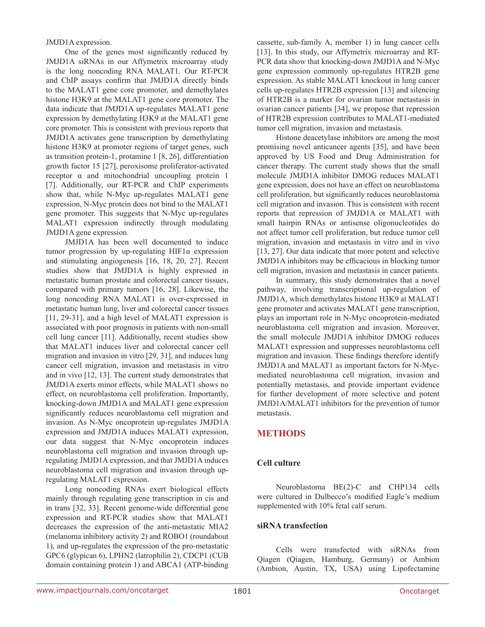JMJD1A expression.

One of the genes most significantly reduced by JMJD1A siRNAs in our Affymetrix microarray study is the long noncoding RNA MALAT1. Our RT-PCR and ChIP assays confirm that JMJD1A directly binds to the MALAT1 gene core promoter, and demethylates histone H3K9 at the MALAT1 gene core promoter. The data indicate that JMJD1A up-regulates MALAT1 gene expression by demethylating H3K9 at the MALAT1 gene core promoter. This is consistent with previous reports that JMJD1A activates gene transcription by demethylating histone H3K9 at promoter regions of target genes, such as transition protein-1, protamine 1 [8, 26], differentiation growth factor 15 [27], peroxisome proliferator-activated receptor α and mitochondrial uncoupling protein 1 [7]. Additionally, our RT-PCR and ChIP experiments show that, while N-Myc up-regulates MALAT1 gene expression, N-Myc protein does not bind to the MALAT1 gene promoter. This suggests that N-Myc up-regulates MALAT1 expression indirectly through modulating JMJD1A gene expression.

JMJD1A has been well documented to induce tumor progression by up-regulating  $HIF1\alpha$  expression and stimulating angiogenesis [16, 18, 20, 27]. Recent studies show that JMJD1A is highly expressed in metastatic human prostate and colorectal cancer tissues, compared with primary tumors [16, 28]. Likewise, the long noncoding RNA MALAT1 is over-expressed in metastatic human lung, liver and colorectal cancer tissues [11, 29-31], and a high level of MALAT1 expression is associated with poor prognosis in patients with non-small cell lung cancer [11]. Additionally, recent studies show that MALAT1 induces liver and colorectal cancer cell migration and invasion in vitro [29, 31], and induces lung cancer cell migration, invasion and metastasis in vitro and in vivo [12, 13]. The current study demonstrates that JMJD1A exerts minor effects, while MALAT1 shows no effect, on neuroblastoma cell proliferation. Importantly, knocking-down JMJD1A and MALAT1 gene expression significantly reduces neuroblastoma cell migration and invasion. As N-Myc oncoprotein up-regulates JMJD1A expression and JMJD1A induces MALAT1 expression, our data suggest that N-Myc oncoprotein induces neuroblastoma cell migration and invasion through upregulating JMJD1A expression, and that JMJD1A induces neuroblastoma cell migration and invasion through upregulating MALAT1 expression.

Long noncoding RNAs exert biological effects mainly through regulating gene transcription in cis and in trans [32, 33]. Recent genome-wide differential gene expression and RT-PCR studies show that MALAT1 decreases the expression of the anti-metastatic MIA2 (melanoma inhibitory activity 2) and ROBO1 (roundabout 1), and up-regulates the expression of the pro-metastatic GPC6 (glypican 6), LPHN2 (latrophilin 2), CDCP1 (CUB domain containing protein 1) and ABCA1 (ATP-binding cassette, sub-family A, member 1) in lung cancer cells [13]. In this study, our Affymetrix microarray and RT-PCR data show that knocking-down JMJD1A and N-Myc gene expression commonly up-regulates HTR2B gene expression. As stable MALAT1 knockout in lung cancer cells up-regulates HTR2B expression [13] and silencing of HTR2B is a marker for ovarian tumor metastasis in ovarian cancer patients [34], we propose that repression of HTR2B expression contributes to MALAT1-mediated tumor cell migration, invasion and metastasis.

Histone deacetylase inhibitors are among the most promising novel anticancer agents [35], and have been approved by US Food and Drug Administration for cancer therapy. The current study shows that the small molecule JMJD1A inhibitor DMOG reduces MALAT1 gene expression, does not have an effect on neuroblastoma cell proliferation, but significantly reduces neuroblastoma cell migration and invasion. This is consistent with recent reports that repression of JMJD1A or MALAT1 with small hairpin RNAs or antisense oligonucleotides do not affect tumor cell proliferation, but reduce tumor cell migration, invasion and metastasis in vitro and in vivo [13, 27]. Our data indicate that more potent and selective JMJD1A inhibitors may be efficacious in blocking tumor cell migration, invasion and metastasis in cancer patients.

In summary, this study demonstrates that a novel pathway, involving transcriptional up-regulation of JMJD1A, which demethylates histone H3K9 at MALAT1 gene promoter and activates MALAT1 gene transcription, plays an important role in N-Myc oncoprotein-mediated neuroblastoma cell migration and invasion. Moreover, the small molecule JMJD1A inhibitor DMOG reduces MALAT1 expression and suppresses neuroblastoma cell migration and invasion. These findings therefore identify JMJD1A and MALAT1 as important factors for N-Mycmediated neuroblastoma cell migration, invasion and potentially metastasis, and provide important evidence for further development of more selective and potent JMJD1A/MALAT1 inhibitors for the prevention of tumor metastasis.

# **METHODS**

# **Cell culture**

Neuroblastoma BE(2)-C and CHP134 cells were cultured in Dulbecco's modified Eagle's medium supplemented with 10% fetal calf serum.

#### **siRNA transfection**

Cells were transfected with siRNAs from Qiagen (Qiagen, Hamburg, Germany) or Ambion (Ambion, Austin, TX, USA) using Lipofectamine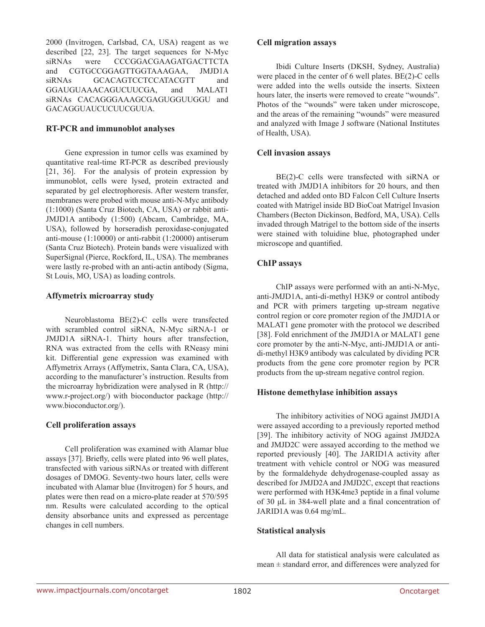2000 (Invitrogen, Carlsbad, CA, USA) reagent as we described [22, 23]. The target sequences for N-Myc siRNAs were CCCGGACGAAGATGACTTCTA and CGTGCCGGAGTTGGTAAAGAA, JMJD1A siRNAs GCACAGTCCTCCATACGTT and GGAUGUAAACAGUCUUCGA, and MALAT1 siRNAs CACAGGGAAAGCGAGUGGUUGGU and GACAGGUAUCUCUUCGUUA.

#### **RT-PCR and immunoblot analyses**

Gene expression in tumor cells was examined by quantitative real-time RT-PCR as described previously [21, 36]. For the analysis of protein expression by immunoblot, cells were lysed, protein extracted and separated by gel electrophoresis. After western transfer, membranes were probed with mouse anti-N-Myc antibody (1:1000) (Santa Cruz Biotech, CA, USA) or rabbit anti-JMJD1A antibody (1:500) (Abcam, Cambridge, MA, USA), followed by horseradish peroxidase-conjugated anti-mouse (1:10000) or anti-rabbit (1:20000) antiserum (Santa Cruz Biotech). Protein bands were visualized with SuperSignal (Pierce, Rockford, IL, USA). The membranes were lastly re-probed with an anti-actin antibody (Sigma, St Louis, MO, USA) as loading controls.

#### **Affymetrix microarray study**

Neuroblastoma BE(2)-C cells were transfected with scrambled control siRNA, N-Myc siRNA-1 or JMJD1A siRNA-1. Thirty hours after transfection, RNA was extracted from the cells with RNeasy mini kit. Differential gene expression was examined with Affymetrix Arrays (Affymetrix, Santa Clara, CA, USA), according to the manufacturer's instruction. Results from the microarray hybridization were analysed in R (http:// www.r-project.org/) with bioconductor package (http:// www.bioconductor.org/).

# **Cell proliferation assays**

Cell proliferation was examined with Alamar blue assays [37]. Briefly, cells were plated into 96 well plates, transfected with various siRNAs or treated with different dosages of DMOG. Seventy-two hours later, cells were incubated with Alamar blue (Invitrogen) for 5 hours, and plates were then read on a micro-plate reader at 570/595 nm. Results were calculated according to the optical density absorbance units and expressed as percentage changes in cell numbers.

#### **Cell migration assays**

Ibidi Culture Inserts (DKSH, Sydney, Australia) were placed in the center of 6 well plates. BE(2)-C cells were added into the wells outside the inserts. Sixteen hours later, the inserts were removed to create "wounds". Photos of the "wounds" were taken under microscope, and the areas of the remaining "wounds" were measured and analyzed with Image J software (National Institutes of Health, USA).

## **Cell invasion assays**

BE(2)-C cells were transfected with siRNA or treated with JMJD1A inhibitors for 20 hours, and then detached and added onto BD Falcon Cell Culture Inserts coated with Matrigel inside BD BioCoat Matrigel Invasion Chambers (Becton Dickinson, Bedford, MA, USA). Cells invaded through Matrigel to the bottom side of the inserts were stained with toluidine blue, photographed under microscope and quantified.

# **ChIP assays**

ChIP assays were performed with an anti-N-Myc, anti-JMJD1A, anti-di-methyl H3K9 or control antibody and PCR with primers targeting up-stream negative control region or core promoter region of the JMJD1A or MALAT1 gene promoter with the protocol we described [38]. Fold enrichment of the JMJD1A or MALAT1 gene core promoter by the anti-N-Myc, anti-JMJD1A or antidi-methyl H3K9 antibody was calculated by dividing PCR products from the gene core promoter region by PCR products from the up-stream negative control region.

#### **Histone demethylase inhibition assays**

The inhibitory activities of NOG against JMJD1A were assayed according to a previously reported method [39]. The inhibitory activity of NOG against JMJD2A and JMJD2C were assayed according to the method we reported previously [40]. The JARID1A activity after treatment with vehicle control or NOG was measured by the formaldehyde dehydrogenase-coupled assay as described for JMJD2A and JMJD2C, except that reactions were performed with H3K4me3 peptide in a final volume of 30 μL in 384-well plate and a final concentration of JARID1A was 0.64 mg/mL.

# **Statistical analysis**

All data for statistical analysis were calculated as  $mean \pm standard$  error, and differences were analyzed for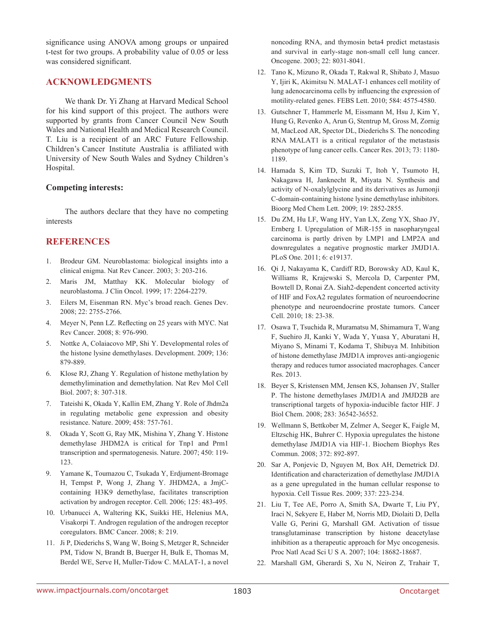significance using ANOVA among groups or unpaired t-test for two groups. A probability value of 0.05 or less was considered significant.

# **ACKNOWLEDGMENTS**

We thank Dr. Yi Zhang at Harvard Medical School for his kind support of this project. The authors were supported by grants from Cancer Council New South Wales and National Health and Medical Research Council. T. Liu is a recipient of an ARC Future Fellowship. Children's Cancer Institute Australia is affiliated with University of New South Wales and Sydney Children's Hospital.

#### **Competing interests:**

The authors declare that they have no competing interests

# **REFERENCES**

- 1. Brodeur GM. Neuroblastoma: biological insights into a clinical enigma. Nat Rev Cancer. 2003; 3: 203-216.
- 2. Maris JM, Matthay KK. Molecular biology of neuroblastoma. J Clin Oncol. 1999; 17: 2264-2279.
- 3. Eilers M, Eisenman RN. Myc's broad reach. Genes Dev. 2008; 22: 2755-2766.
- 4. Meyer N, Penn LZ. Reflecting on 25 years with MYC. Nat Rev Cancer. 2008; 8: 976-990.
- 5. Nottke A, Colaiacovo MP, Shi Y. Developmental roles of the histone lysine demethylases. Development. 2009; 136: 879-889.
- 6. Klose RJ, Zhang Y. Regulation of histone methylation by demethylimination and demethylation. Nat Rev Mol Cell Biol. 2007; 8: 307-318.
- 7. Tateishi K, Okada Y, Kallin EM, Zhang Y. Role of Jhdm2a in regulating metabolic gene expression and obesity resistance. Nature. 2009; 458: 757-761.
- 8. Okada Y, Scott G, Ray MK, Mishina Y, Zhang Y. Histone demethylase JHDM2A is critical for Tnp1 and Prm1 transcription and spermatogenesis. Nature. 2007; 450: 119- 123.
- 9. Yamane K, Toumazou C, Tsukada Y, Erdjument-Bromage H, Tempst P, Wong J, Zhang Y. JHDM2A, a JmjCcontaining H3K9 demethylase, facilitates transcription activation by androgen receptor. Cell. 2006; 125: 483-495.
- 10. Urbanucci A, Waltering KK, Suikki HE, Helenius MA, Visakorpi T. Androgen regulation of the androgen receptor coregulators. BMC Cancer. 2008; 8: 219.
- 11. Ji P, Diederichs S, Wang W, Boing S, Metzger R, Schneider PM, Tidow N, Brandt B, Buerger H, Bulk E, Thomas M, Berdel WE, Serve H, Muller-Tidow C. MALAT-1, a novel

noncoding RNA, and thymosin beta4 predict metastasis and survival in early-stage non-small cell lung cancer. Oncogene. 2003; 22: 8031-8041.

- 12. Tano K, Mizuno R, Okada T, Rakwal R, Shibato J, Masuo Y, Ijiri K, Akimitsu N. MALAT-1 enhances cell motility of lung adenocarcinoma cells by influencing the expression of motility-related genes. FEBS Lett. 2010; 584: 4575-4580.
- 13. Gutschner T, Hammerle M, Eissmann M, Hsu J, Kim Y, Hung G, Revenko A, Arun G, Stentrup M, Gross M, Zornig M, MacLeod AR, Spector DL, Diederichs S. The noncoding RNA MALAT1 is a critical regulator of the metastasis phenotype of lung cancer cells. Cancer Res. 2013; 73: 1180- 1189.
- 14. Hamada S, Kim TD, Suzuki T, Itoh Y, Tsumoto H, Nakagawa H, Janknecht R, Miyata N. Synthesis and activity of N-oxalylglycine and its derivatives as Jumonji C-domain-containing histone lysine demethylase inhibitors. Bioorg Med Chem Lett. 2009; 19: 2852-2855.
- 15. Du ZM, Hu LF, Wang HY, Yan LX, Zeng YX, Shao JY, Ernberg I. Upregulation of MiR-155 in nasopharyngeal carcinoma is partly driven by LMP1 and LMP2A and downregulates a negative prognostic marker JMJD1A. PLoS One. 2011; 6: e19137.
- 16. Qi J, Nakayama K, Cardiff RD, Borowsky AD, Kaul K, Williams R, Krajewski S, Mercola D, Carpenter PM, Bowtell D, Ronai ZA. Siah2-dependent concerted activity of HIF and FoxA2 regulates formation of neuroendocrine phenotype and neuroendocrine prostate tumors. Cancer Cell. 2010; 18: 23-38.
- 17. Osawa T, Tsuchida R, Muramatsu M, Shimamura T, Wang F, Suehiro JI, Kanki Y, Wada Y, Yuasa Y, Aburatani H, Miyano S, Minami T, Kodama T, Shibuya M. Inhibition of histone demethylase JMJD1A improves anti-angiogenic therapy and reduces tumor associated macrophages. Cancer Res. 2013.
- 18. Beyer S, Kristensen MM, Jensen KS, Johansen JV, Staller P. The histone demethylases JMJD1A and JMJD2B are transcriptional targets of hypoxia-inducible factor HIF. J Biol Chem. 2008; 283: 36542-36552.
- 19. Wellmann S, Bettkober M, Zelmer A, Seeger K, Faigle M, Eltzschig HK, Buhrer C. Hypoxia upregulates the histone demethylase JMJD1A via HIF-1. Biochem Biophys Res Commun. 2008; 372: 892-897.
- 20. Sar A, Ponjevic D, Nguyen M, Box AH, Demetrick DJ. Identification and characterization of demethylase JMJD1A as a gene upregulated in the human cellular response to hypoxia. Cell Tissue Res. 2009; 337: 223-234.
- 21. Liu T, Tee AE, Porro A, Smith SA, Dwarte T, Liu PY, Iraci N, Sekyere E, Haber M, Norris MD, Diolaiti D, Della Valle G, Perini G, Marshall GM. Activation of tissue transglutaminase transcription by histone deacetylase inhibition as a therapeutic approach for Myc oncogenesis. Proc Natl Acad Sci U S A. 2007; 104: 18682-18687.
- 22. Marshall GM, Gherardi S, Xu N, Neiron Z, Trahair T,